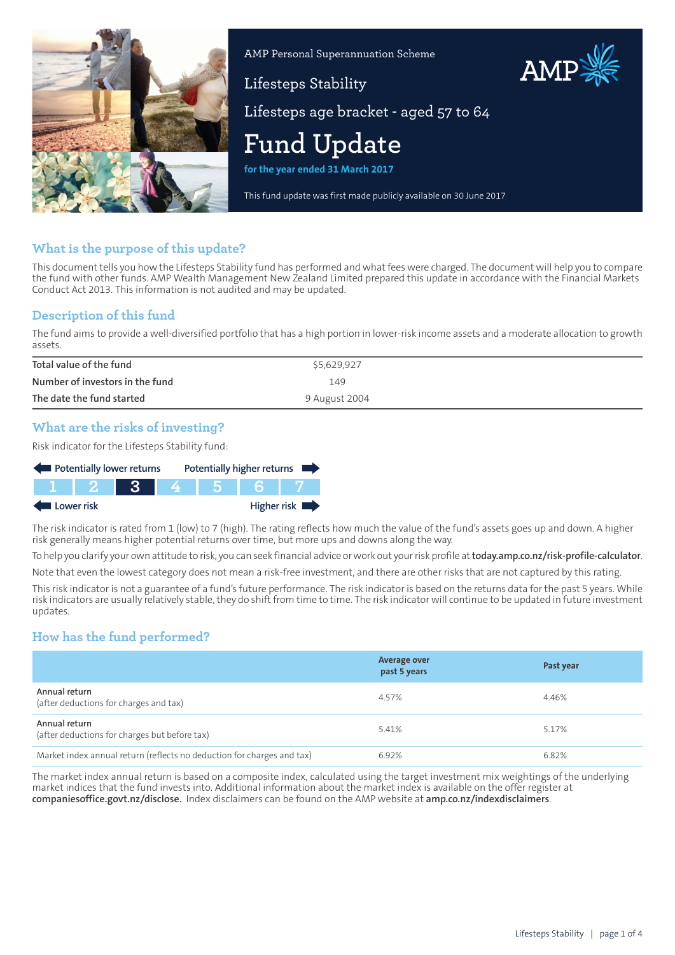

AMP Personal Superannuation Scheme

# AMP

Lifesteps age bracket - aged 57 to 64

# **Fund Update**

Lifesteps Stability

**for the year ended 31 March 2017**

This fund update was first made publicly available on 30 June 2017

# **What is the purpose of this update?**

This document tells you how the Lifesteps Stability fund has performed and what fees were charged. The document will help you to compare the fund with other funds. AMP Wealth Management New Zealand Limited prepared this update in accordance with the Financial Markets Conduct Act 2013. This information is not audited and may be updated.

### **Description of this fund**

The fund aims to provide a well-diversified portfolio that has a high portion in lower-risk income assets and a moderate allocation to growth assets.

| Total value of the fund         | \$5,629,927   |
|---------------------------------|---------------|
| Number of investors in the fund | 149           |
| The date the fund started       | 9 August 2004 |

# **What are the risks of investing?**

Risk indicator for the Lifesteps Stability fund:



The risk indicator is rated from 1 (low) to 7 (high). The rating reflects how much the value of the fund's assets goes up and down. A higher risk generally means higher potential returns over time, but more ups and downs along the way.

To help you clarify your own attitude to risk, you can seek financial advice orwork out yourrisk profile at**[today.amp.co.nz/risk-profile-calculator](http://today.amp.co.nz/risk-profile-calculator)**. Note that even the lowest category does not mean a risk-free investment, and there are other risks that are not captured by this rating.

This risk indicator is not a guarantee of a fund's future performance. The risk indicator is based on the returns data for the past 5 years. While risk indicators are usually relatively stable, they do shift from time to time. The risk indicator will continue to be updated in future investment updates.

# **How has the fund performed?**

|                                                                        | <b>Average over</b><br>past 5 years | Past year |
|------------------------------------------------------------------------|-------------------------------------|-----------|
| Annual return<br>(after deductions for charges and tax)                | 4.57%                               | 4.46%     |
| Annual return<br>(after deductions for charges but before tax)         | 5.41%                               | 5.17%     |
| Market index annual return (reflects no deduction for charges and tax) | 6.92%                               | 6.82%     |

The market index annual return is based on a composite index, calculated using the target investment mix weightings of the underlying market indices that the fund invests into. Additional information about the market index is available on the offer register at **[companiesoffice.govt.nz/disclose](http://companiesoffice.govt.nz/disclose).** Index disclaimers can be found on the AMP website at **[amp.co.nz/indexdisclaimers](http://amp.co.nz/indexdisclaimers)**.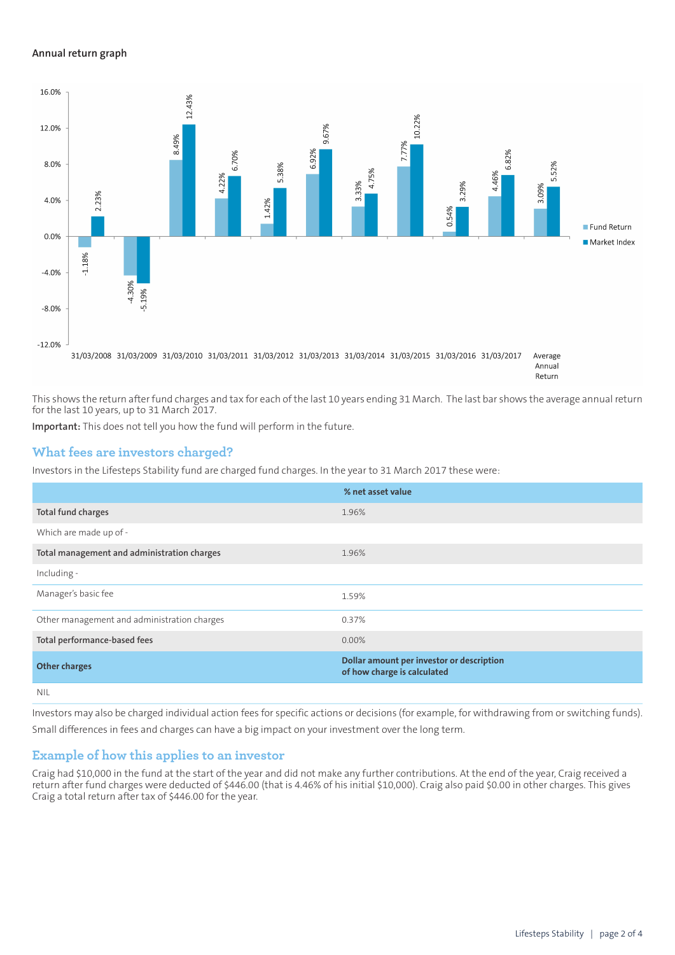#### **Annual return graph**



Annual Return

This shows the return after fund charges and tax for each of the last 10 years ending 31 March. The last bar shows the average annual return for the last 10 years, up to 31 March 2017.

**Important:** This does not tell you how the fund will perform in the future.

#### **What fees are investors charged?**

Investors in the Lifesteps Stability fund are charged fund charges. In the year to 31 March 2017 these were:

|                                             | % net asset value                                                        |
|---------------------------------------------|--------------------------------------------------------------------------|
| Total fund charges                          | 1.96%                                                                    |
| Which are made up of -                      |                                                                          |
| Total management and administration charges | 1.96%                                                                    |
| Including -                                 |                                                                          |
| Manager's basic fee                         | 1.59%                                                                    |
| Other management and administration charges | 0.37%                                                                    |
| Total performance-based fees                | 0.00%                                                                    |
| <b>Other charges</b>                        | Dollar amount per investor or description<br>of how charge is calculated |
| <b>NIL</b>                                  |                                                                          |

Investors may also be charged individual action fees for specific actions or decisions (for example, for withdrawing from or switching funds). Small differences in fees and charges can have a big impact on your investment over the long term.

#### **Example of how this applies to an investor**

Craig had \$10,000 in the fund at the start of the year and did not make any further contributions. At the end of the year, Craig received a return after fund charges were deducted of \$446.00 (that is 4.46% of his initial \$10,000). Craig also paid \$0.00 in other charges. This gives Craig a total return after tax of \$446.00 for the year.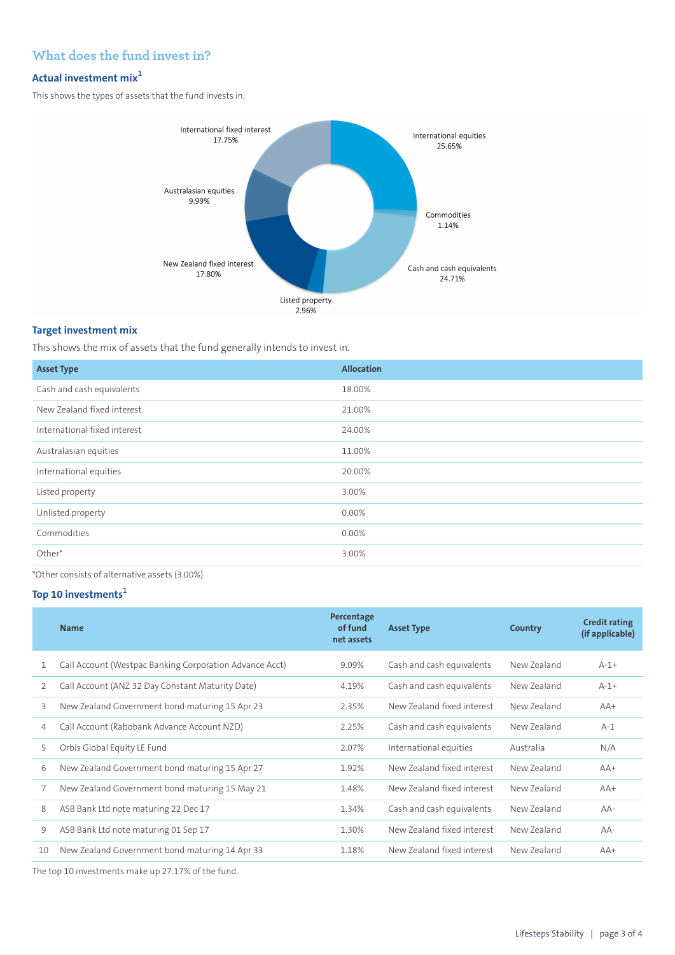# **What does the fund invest in?**

# **Actual investment mix<sup>1</sup>**

This shows the types of assets that the fund invests in.



#### **Target investment mix**

This shows the mix of assets that the fund generally intends to invest in.

| <b>Asset Type</b>            | <b>Allocation</b> |
|------------------------------|-------------------|
| Cash and cash equivalents    | 18.00%            |
| New Zealand fixed interest   | 21.00%            |
| International fixed interest | 24.00%            |
| Australasian equities        | 11.00%            |
| International equities       | 20.00%            |
| Listed property              | 3.00%             |
| Unlisted property            | 0.00%             |
| Commodities                  | 0.00%             |
| Other*                       | 3.00%             |
|                              |                   |

\*Other consists of alternative assets (3.00%)

# **Top 10 investments<sup>1</sup>**

|    | <b>Name</b>                                             | Percentage<br>of fund<br>net assets | <b>Asset Type</b>          | Country     | <b>Credit rating</b><br>(if applicable) |
|----|---------------------------------------------------------|-------------------------------------|----------------------------|-------------|-----------------------------------------|
| 1  | Call Account (Westpac Banking Corporation Advance Acct) | 9.09%                               | Cash and cash equivalents  | New Zealand | $A-1+$                                  |
| 2  | Call Account (ANZ 32 Day Constant Maturity Date)        | 4.19%                               | Cash and cash equivalents  | New Zealand | $A - 1 +$                               |
| 3  | New Zealand Government bond maturing 15 Apr 23          | 2.35%                               | New Zealand fixed interest | New Zealand | $AA+$                                   |
| 4  | Call Account (Rabobank Advance Account NZD)             | 2.25%                               | Cash and cash equivalents  | New Zealand | $A-1$                                   |
| 5  | Orbis Global Equity LE Fund                             | 2.07%                               | International equities     | Australia   | N/A                                     |
| 6  | New Zealand Government bond maturing 15 Apr 27          | 1.92%                               | New Zealand fixed interest | New Zealand | $AA+$                                   |
| 7  | New Zealand Government bond maturing 15 May 21          | 1.48%                               | New Zealand fixed interest | New Zealand | $AA+$                                   |
| 8  | ASB Bank Ltd note maturing 22 Dec 17                    | 1.34%                               | Cash and cash equivalents  | New Zealand | $AA-$                                   |
| 9  | ASB Bank Ltd note maturing 01 Sep 17                    | 1.30%                               | New Zealand fixed interest | New Zealand | $AA-$                                   |
| 10 | New Zealand Government bond maturing 14 Apr 33          | 1.18%                               | New Zealand fixed interest | New Zealand | $AA+$                                   |
|    |                                                         |                                     |                            |             |                                         |

The top 10 investments make up 27.17% of the fund.